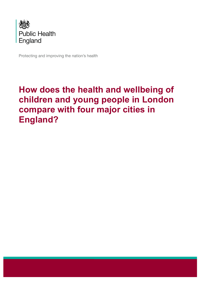

Protecting and improving the nation's health

# **How does the health and wellbeing of children and young people in London compare with four major cities in England?**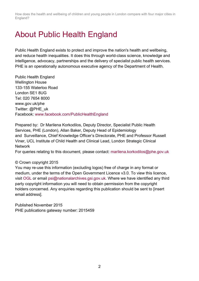# About Public Health England

Public Health England exists to protect and improve the nation's health and wellbeing, and reduce health inequalities. It does this through world-class science, knowledge and intelligence, advocacy, partnerships and the delivery of specialist public health services. PHE is an operationally autonomous executive agency of the Department of Health.

Public Health England Wellington House 133-155 Waterloo Road London SE1 8UG Tel: 020 7654 8000 www.gov.uk/phe Twitter: @PHE\_uk Facebook: www.facebook.com/PublicHealthEngland

Prepared by: Dr Marilena Korkodilos, Deputy Director, Specialist Public Health Services, PHE (London), Allan Baker, Deputy Head of Epidemiology and Surveillance, Chief Knowledge Officer's Directorate, PHE and Professor Russell Viner, UCL Institute of Child Health and Clinical Lead, London Strategic Clinical **Network** 

For queries relating to this document, please contact: marilena.korkodilos@phe.gov.uk

#### © Crown copyright 2015

You may re-use this information (excluding logos) free of charge in any format or medium, under the terms of the Open Government Licence v3.0. To view this licence, visit OGL or email psi@nationalarchives.gsi.gov.uk. Where we have identified any third party copyright information you will need to obtain permission from the copyright holders concerned. Any enquiries regarding this publication should be sent to [insert email address].

Published November 2015 PHE publications gateway number: 2015459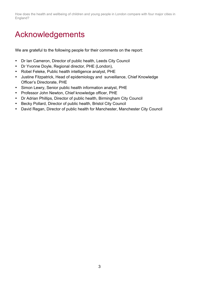# Acknowledgements

We are grateful to the following people for their comments on the report:

- Dr Ian Cameron, Director of public health, Leeds City Council
- Dr Yvonne Doyle, Regional director, PHE (London),
- Robel Feleke, Public health intelligence analyst, PHE
- Justine Fitzpatrick, Head of epidemiology and surveillance, Chief Knowledge Officer's Directorate, PHE
- Simon Lewry, Senior public health information analyst, PHE
- Professor John Newton, Chief knowledge officer, PHE
- Dr Adrian Phillips, Director of public health, Birmingham City Council
- Becky Pollard, Director of public health, Bristol City Council
- David Regan, Director of public health for Manchester, Manchester City Council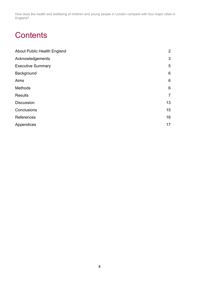# **Contents**

| <b>About Public Health England</b> | $\overline{2}$  |
|------------------------------------|-----------------|
| Acknowledgements                   | 3               |
| <b>Executive Summary</b>           | 5               |
| Background                         | $6\phantom{1}6$ |
| Aims                               | $6\phantom{1}6$ |
| Methods                            | $6\phantom{1}6$ |
| <b>Results</b>                     | $\overline{7}$  |
| <b>Discussion</b>                  | 13              |
| Conclusions                        | 15              |
| References                         | 16              |
| Appendices                         | 17              |
|                                    |                 |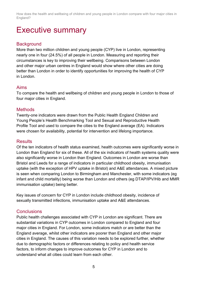## Executive summary

## **Background**

More than two million children and young people (CYP) live in London, representing nearly one in four (24.5%) of all people in London. Measuring and reporting their circumstances is key to improving their wellbeing. Comparisons between London and other major urban centres in England would show where other cities are doing better than London in order to identify opportunities for improving the health of CYP in London.

### Aims

To compare the health and wellbeing of children and young people in London to those of four major cities in England.

#### **Methods**

Twenty-one indicators were drawn from the Public Health England Children and Young People's Health Benchmarking Tool and Sexual and Reproductive Health Profile Tool and used to compare the cities to the England average (EA). Indicators were chosen for availability, potential for intervention and lifelong importance.

#### **Results**

Of the ten indicators of health status examined, health outcomes were significantly worse in London than England for six of these. All of the six indicators of health systems quality were also significantly worse in London than England. Outcomes in London are worse than Bristol and Leeds for a range of indicators in particular childhood obesity, immunisation uptake (with the exception of HPV uptake in Bristol) and A&E attendances. A mixed picture is seen when comparing London to Birmingham and Manchester, with some indicators (eg infant and child mortality) being worse than London and others (eg DTAP/IPV/Hib and MMR immunisation uptake) being better.

Key issues of concern for CYP in London include childhood obesity, incidence of sexually transmitted infections, immunisation uptake and A&E attendances.

### **Conclusions**

Public health challenges associated with CYP in London are significant. There are substantial variations in CYP outcomes in London compared to England and four major cities in England. For London, some indicators match or are better than the England average, whilst other indicators are poorer than England and other major cities in England. The causes of this variation needs to be explored further, whether due to demographic factors or differences relating to policy and health service factors, to inform changes to improve outcomes for CYP in London and to understand what all cities could learn from each other.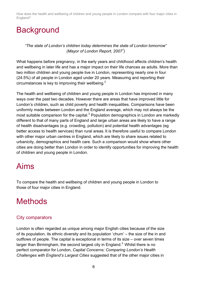# **Background**

*"The state of London's children today determines the state of London tomorrow" (Mayor of London Report, 20071 )*

What happens before pregnancy, in the early years and childhood affects children's health and wellbeing in later life and has a major impact on their life chances as adults. More than two million children and young people live in London, representing nearly one in four (24.5%) of all people in London aged under 20 years. Measuring and reporting their circumstances is key to improving their wellbeing. $<sup>2</sup>$ </sup>

The health and wellbeing of children and young people in London has improved in many ways over the past two decades. However there are areas that have improved little for London's children, such as child poverty and health inequalities. Comparisons have been uniformly made between London and the England average, which may not always be the most suitable comparison for the capital.<sup>3</sup> Population demographics in London are markedly different to that of many parts of England and large urban areas are likely to have a range of health disadvantages (e.g. crowding, pollution) and potential health advantages (eg better access to health services) than rural areas. It is therefore useful to compare London with other major urban centres in England, which are likely to share issues related to urbanicity, demographics and health care. Such a comparison would show where other cities are doing better than London in order to identify opportunities for improving the health of children and young people in London.

## Aims

To compare the health and wellbeing of children and young people in London to those of four major cities in England.

# **Methods**

## City comparators

London is often regarded as unique among major English cities because of the size of its population, its ethnic diversity and its population 'churn' – the size of the in and outflows of people. The capital is exceptional in terms of its size – over seven times larger than Birmingham, the second largest city in England. $3$  Whilst there is no perfect comparator for London, *Capital Concerns: Comparing London's Health Challenges with England's Largest Cities* suggested that of the other major cities in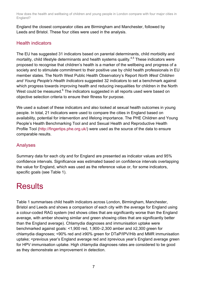England the closest comparator cities are Birmingham and Manchester, followed by Leeds and Bristol. These four cities were used in the analysis.

## Health indicators

The EU has suggested 31 indicators based on parental determinants, child morbidity and mortality, child lifestyle determinants and health systems quality.<sup>4,5</sup> These indicators were proposed to recognise that children's health is a marker of the wellbeing and progress of a society and to stimulate commitment to their positive use by child health professionals in EU member states. The North West Public Health Observatory's Report *North West Children and Young People's Health Indicators* suggested 32 indicators to set a benchmark against which progress towards improving health and reducing inequalities for children in the North West could be measured.<sup>6</sup> The indicators suggested in all reports used were based on objective selection criteria to ensure their fitness for purpose.

We used a subset of these indicators and also looked at sexual health outcomes in young people. In total, 21 indicators were used to compare the cities in England based on availability, potential for intervention and lifelong importance. The PHE Children and Young People's Health Benchmarking Tool and and Sexual Health and Reproductive Health Profile Tool (http://fingertips.phe.org.uk/) were used as the source of the data to ensure comparable results.

## Analyses

Summary data for each city and for England are presented as indicator values and 95% confidence intervals. Significance was estimated based on confidence intervals overlapping the value for England, which was used as the reference value or, for some indicators, specific goals (see Table 1).

## **Results**

Table 1 summarises child health indicators across London, Birmingham, Manchester, Bristol and Leeds and shows a comparison of each city with the average for England using a colour-coded RAG system (red shows cities that are significantly worse than the England average, with amber showing similar and green showing cities that are significantly better than the England average). Chlamydia diagnoses and immunisation uptake were benchmarked against goals: <1,900 red, 1,900–2,300 amber and ≥2,300 green for chlamydia diagnoses; <90% red and ≥90% green for DTaP/IPV/Hib and MMR immunisation uptake; <previous year's England average red and ≥previous year's England average green for HPV immunisation uptake. High chlamydia diagnoses rates are considered to be good as they demonstrate an improvement in detection.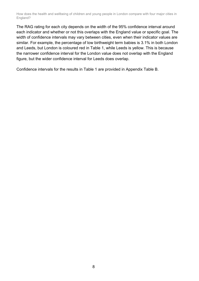The RAG rating for each city depends on the width of the 95% confidence interval around each indicator and whether or not this overlaps with the England value or specific goal. The width of confidence intervals may vary between cities, even when their indicator values are similar. For example, the percentage of low birthweight term babies is 3.1% in both London and Leeds, but London is coloured red in Table 1, while Leeds is yellow. This is because the narrower confidence interval for the London value does not overlap with the England figure, but the wider confidence interval for Leeds does overlap.

Confidence intervals for the results in Table 1 are provided in Appendix Table B.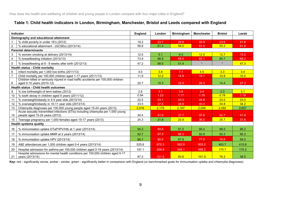#### **Table 1: Child health indicators in London, Birmingham, Manchester, Bristol and Leeds compared with England**

|                | <b>Indicator</b>                                                                                                   | <b>England</b> | London | <b>Birmingham</b> | <b>Manchester</b> | <b>Bristol</b> | <b>Leeds</b> |
|----------------|--------------------------------------------------------------------------------------------------------------------|----------------|--------|-------------------|-------------------|----------------|--------------|
|                | Demography and educational attainment                                                                              |                |        |                   |                   |                |              |
|                | % child poverty in under 16's (2012)                                                                               | 19.2           | 23.7   | 29.9              | 33.9              | 23.6           | 21.6         |
| $\overline{2}$ | % educational attainment - (GCSEs) (2013/14)                                                                       | 56.8           | 61.4   | 56.0              | 51.5              | 55.2           | 51.0         |
|                | <b>Parental determinants</b>                                                                                       |                |        |                   |                   |                |              |
| 3              | % women smoking at delivery (2013/14)                                                                              | 12.0           | 5.1    | 9.3               | 12.5              | 12.7           | 13.2         |
| $\overline{4}$ | % breastfeeding initiation (2012/13)                                                                               | 73.9           | 86.8   | 68.4              | 65.1              | 80.7           | 68.2         |
| 5              | % breastfeeding at 6 - 8 weeks after birth (2012/13)                                                               | 47.2           | 68.5   | 51.4              | $\star$           | $\star$        | 47.3         |
|                | <b>Health status - Child mortality</b>                                                                             |                |        |                   |                   |                |              |
| 6              | Infant mortality per 1,000 live births (2011/13)                                                                   | 4.0            | 3.8    | 7.1               | 4.5               | 3.3            | 3.4          |
| $\overline{7}$ | Child mortality per 100,000 children aged 1-17 years (2011/13)                                                     | 11.9           | 12.2   | 14.9              | 18.1              | 10.8           | 10.0         |
| 8              | Children killed or seriously injured in road traffic accidents per 100,000 children<br>aged 0-15 years (2010-12)   | 20.7           | 15.3   | 32.5              | 26.3              | 14.4           | 27.3         |
|                | <b>Health status - Child health outcomes</b>                                                                       |                |        |                   |                   |                |              |
| 9              | % low birthweight of term babies (2012)                                                                            | 2.8            | 3.1    | 3.9               | 3.4               | 2.3            | 3.1          |
| 10             | % tooth decay in children aged 5 years (2011/12)                                                                   | 0.94           | 1.23   | 1.17              | 1.78              | 0.78           | 1.19         |
| 11             | % overweight/obesity in 4-5 year olds (2013/14)                                                                    | 22.5           | 23.1   | 23.3              | 25.8              | 23.0           | 23.0         |
| 12             | % overweight/obesity in 10-11 year olds (2013/14)                                                                  | 33.5           | 37.6   | 38.8              | 40.3              | 34.8           | 34.2         |
| 13             | Chlamydia diagnoses per 100,000 young people aged 15-24 years (2013)                                               | 2,016          | 2,179  | 2,167             | 2,006             | 2,092          | 2,607        |
| 14             | Acute sexually transmitted infections (STIs) including chlamydia per 1,000 young<br>people aged 15-24 years (2012) | 34.4           | 41.9   | 37.7              | 37.6              | 42.7           | 41.0         |
| 15             | Teenage pregnancy per 1,000 females aged 15-17 years (2013)                                                        | 24.3           | 21.8   | 25.9              | 36.5              | 25.7           | 31.6         |
|                | <b>Health systems quality</b>                                                                                      |                |        |                   |                   |                |              |
| 16             | % immunisation uptake DTaP/IPV/Hib at 1 year (2013/14)                                                             | 94.3           | 89.8   | 91.5              | 95.4              | 96.0           | 96.2         |
| 17             | % immunisation uptake MMR at 2 years (2013/14)                                                                     | 92.7           | 87.5   | 88.3              | 92.9              | 92.3           | 95.3         |
| 18             | % immunisation uptake HPV (2013/14)                                                                                | 86.7           | 80.0   | 87.9              | 77.9              | 76.6           | 94.0         |
| 19             | A&E attendances per 1,000 children aged 0-4 years (2013/14)                                                        | 525.6          | 675.3  | 562.8             | 803.2             | 463.7          | 415.6        |
| 20             | Hospital admission for asthma per 100,000 children aged 0-18 years (2013/14)                                       | 197.1          | 204.8  | 346.1             | 468.2             | 170.7          | 170.2        |
| 21             | Hospital admissions for mental health conditions per 100,000 children aged 0-17<br>vears (2013/14)                 | 87.2           | 101.9  | 93.6              | 101.9             | 76.2           | 38.5         |

Key: red - significantly worse, amber - similar, green - significantly better in comparison with England (or benchmarked goals for immunisation uptake and chlamydia diagnoses)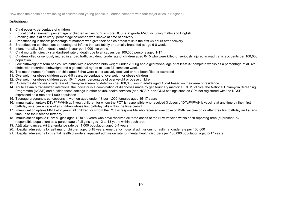#### **Definitions:**

- 1. Child poverty: percentage of children
- 2. Educational attainment: percentage of children achieving 5 or more GCSEs at grade A\*-C, including maths and English
- 3. Smoking status at delivery: percentage of women who smoke at time of delivery
- 4. Breastfeeding initiation: percentage of mothers who give their babies breast milk in the first 48 hours after delivery
- 5. Breastfeeding continuation: percentage of infants that are totally or partially breastfed at age 6-8 weeks
- 6. Infant mortality: infant deaths under 1 year per 1,000 live births
- 7. Child mortality: directly standardised rate of death due to all causes per 100,000 persons aged 1-17
- 8. Children killed or seriously injured in a road traffic accident: crude rate of children aged 0-15 who were killed or seriously injured in road traffic accidents per 100,000 population
- 9. Low birthweight of term babies: live births with a recorded birth weight under 2,500g and a gestational age of at least 37 complete weeks as a percentage of all live births with recorded birthweight and a gestational age of at least 37 complete weeks
- 10. The mean number of teeth per child aged 5 that were either actively decayed or had been filled or extracted
- 11. Overweight or obese children aged 4-5 years: percentage of overweight or obese children
- 12. Overweight or obese children aged 10-11 years: percentage of overweight or obese children
- 13. Chlamydia diagnoses: crude rate of chlamydia screening detection per 100,000 young adults aged 15-24 based on their area of residence
- 14. Acute sexually transmitted infections: the indicator is a combination of diagnoses made by genitourinary medicine (GUM) clinics, the National Chlamydia Screening Programme (NCSP) and outside these settings in other sexual health services (non-NCSP, non-GUM settings such as GPs not registered with the NCSP) expressed as a rate per 1,000 population
- 15. Teenage pregnancy: conceptions in women aged under 18 per 1,000 females aged 15-17 years
- 16. Immunisation uptake DTaP/IPV/Hib at 1 year: children for whom the PCT is responsible who received 3 doses of DTaP/IPV/Hib vaccine at any time by their first birthday as a percentage of all children whose first birthday falls within the time period
- 17. Immunisation uptake MMR at 2 years: all children for whom the PCT is responsible who received one dose of MMR vaccine on or after their first birthday and at any time up to their second birthday
- 18. Immunisation uptake HPV: all girls aged 12 to 13 years who have received all three doses of the HPV vaccine within each reporting area (at present PCT responsible population) as a percentage of all girls aged 12 to 13 years within each area
- 19. A&E attendances: A&E attendance rate per 1,000 population aged 0-4 years
- 20. Hospital admissions for asthma for children aged 0-18 years: emergency hospital admissions for asthma, crude rate per 100,000
- 21. Hospital admissions for mental health disorders: inpatient admission rate for mental health disorders per 100,000 population aged 0-17 years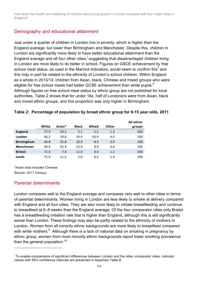### Demography and educational attainment

Just under a quarter of children in London live in poverty, which is higher than the England average, but lower than Birmingham and Manchester. Despite this, children in London are significantly more likely to have better educational attainment than the England average and all four other cities,<sup>i</sup> suggesting that disadvantaged children living in London are more likely to do better in school. Figures on GSCE achievement by free school meal status, as used in the Marmot Indicators, would seem to confirm this<sup>7</sup> and this may in part be related to the ethnicity of London's school children. Within England as a whole in 2013/14, children from Asian, black, Chinese and mixed groups who were eligible for free school meals had better GCSE achievement than white pupils.<sup>8</sup> Although figures on free school meal status by ethnic group are not published for local authorities, Table 2 shows that for under 16s, half of Londoners were from Asian, black and mixed ethnic groups, and this proportion was only higher in Birmingham.

|  |  |  | Table 2: Percentage of population by broad ethnic group for 0-15 year olds, 2011 |
|--|--|--|----------------------------------------------------------------------------------|
|  |  |  |                                                                                  |

|                   |       |        |              |       |       | All ethnic |
|-------------------|-------|--------|--------------|-------|-------|------------|
|                   | White | Asian* | <b>Black</b> | Mixed | Other | groups     |
| <b>England</b>    | 77.9  | 10.3   | 5.1          | 5.5   | 1.3   | 100        |
| London            | 46.3  | 19.8   | 19.0         | 10.9  | 4.0   | 100        |
| <b>Birmingham</b> | 40.8  | 35.8   | 10.9         | 9.5   | 3.0   | 100        |
| <b>Manchester</b> | 49.6  | 22.4   | 13.4         | 9.9   | 4.6   | 100        |
| <b>Bristol</b>    | 72.0  | 7.4    | 11.0         | 8.4   | 1.2   | 100        |
| Leeds             | 75.9  | 11.5   | 5.0          | 6.2   | 1.4   | 100        |

\*Asian total includes Chinese Source: 2011 Census

## Parental determinants

 $\overline{a}$ 

London compares well to the England average and compares very well to other cities in terms of parental determinants. Women living in London are less likely to smoke at delivery compared with England and all four cities. They are also more likely to initiate breastfeeding and continue to breastfeed at 6–8 weeks than the England average. Of the four comparator cities only Bristol has a breastfeeding initiation rate that is higher than England, although this is still significantly worse than London. These findings may also be partly related to the ethnicity of mothers in London. Women from all minority ethnic backgrounds are more likely to breastfeed compared with white mothers. $^9$  Although there is a lack of national data on smoking in pregnancy by ethnic group, women from most minority ethnic backgrounds report lower smoking prevalence than the general population. $10$ 

<sup>&</sup>lt;sup>i</sup> To enable comparisons of significant differences between London and the other comparator cities, indicator values with 95% confidence intervals are presented in Appendix Table B.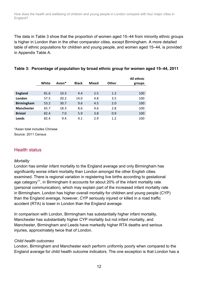The data in Table 3 show that the proportion of women aged 15–44 from minority ethnic groups is higher in London than in the other comparator cities, except Birmingham. A more detailed table of ethnic populations for children and young people, and women aged 15–44, is provided in Appendix Table A.

|                   |       |        |              |              |       | All ethnic |
|-------------------|-------|--------|--------------|--------------|-------|------------|
|                   | White | Asian* | <b>Black</b> | <b>Mixed</b> | Other | groups     |
|                   |       |        |              |              |       |            |
| <b>England</b>    | 81.6  | 10.3   | 4.4          | 2.5          | 1.2   | 100        |
| London            | 57.5  | 20.2   | 14.0         | 4.8          | 3.5   | 100        |
| <b>Birmingham</b> | 53.2  | 30.7   | 9.6          | 4.5          | 2.0   | 100        |
| <b>Manchester</b> | 65.7  | 18.3   | 8.6          | 4.6          | 2.8   | 100        |
| <b>Bristol</b>    | 82.4  | 7.0    | 5.9          | 3.8          | 0.9   | 100        |
| Leeds             | 82.4  | 9.4    | 4.1          | 2.9          | 1.2   | 100        |

#### **Table 3: Percentage of population by broad ethnic group for women aged 15–44, 2011**

\*Asian total includes Chinese

Source: 2011 Census

## Health status

#### *Mortality*

London has similar infant mortality to the England average and only Birmingham has significantly worse infant mortality than London amongst the other English cities examined. There is regional variation in registering live births according to gestational age category<sup>11</sup>, in Birmingham it accounts for about 20% of the infant mortality rate (personal communication), which may explain part of the increased infant mortality rate in Birmingham. London has higher overall mortality for children and young people (CYP) than the England average, however, CYP seriously injured or killed in a road traffic accident (RTA) is lower in London than the England average.

In comparison with London, Birmingham has substantially higher infant mortality, Manchester has substantially higher CYP mortality but not infant mortality, and Manchester, Birmingham and Leeds have markedly higher RTA deaths and serious injuries, approximately twice that of London.

#### *Child health outcomes*

London, Birmingham and Manchester each perform uniformly poorly when compared to the England average for child health outcome indicators. The one exception is that London has a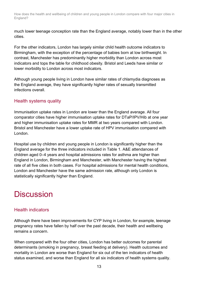much lower teenage conception rate than the England average, notably lower than in the other cities.

For the other indicators, London has largely similar child health outcome indicators to Birmingham, with the exception of the percentage of babies born at low birthweight. In contrast, Manchester has predominantly higher morbidity than London across most indicators and tops the table for childhood obesity. Bristol and Leeds have similar or lower morbidity to London across most indicators.

Although young people living in London have similar rates of chlamydia diagnoses as the England average, they have significantly higher rates of sexually transmitted infections overall.

## Health systems quality

Immunisation uptake rates in London are lower than the England average. All four comparator cities have higher immunisation uptake rates for DTaP/IPV/Hib at one year and higher immunisation uptake rates for MMR at two years compared with London. Bristol and Manchester have a lower uptake rate of HPV immunisation compared with London.

Hospital use by children and young people in London is significantly higher than the England average for the three indicators included in Table 1. A&E attendances of children aged 0–4 years and hospital admissions rates for asthma are higher than England in London, Birmingham and Manchester, with Manchester having the highest rate of all five cities in both cases. For hospital admissions for mental health conditions, London and Manchester have the same admission rate, although only London is statistically significantly higher than England.

# **Discussion**

## Health indicators

Although there have been improvements for CYP living in London, for example, teenage pregnancy rates have fallen by half over the past decade, their health and wellbeing remains a concern.

When compared with the four other cities, London has better outcomes for parental determinants (smoking in pregnancy, breast feeding at delivery). Health outcomes and mortality in London are worse than England for six out of the ten indicators of health status examined, and worse than England for all six indicators of health systems quality.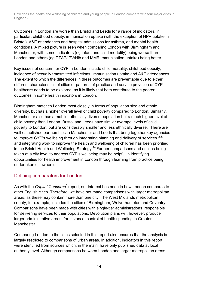Outcomes in London are worse than Bristol and Leeds for a range of indicators, in particular, childhood obesity, immunisation uptake (with the exception of HPV uptake in Bristol), A&E attendances and hospital admissions for asthma, and mental health conditions. A mixed picture is seen when comparing London with Birmingham and Manchester, with some indicators (eg infant and child mortality) being worse than London and others (eg DTAP/IPV/Hib and MMR immunisation uptake) being better.

Key issues of concern for CYP in London include child mortality, childhood obesity, incidence of sexually transmitted infections, immunisation uptake and A&E attendances. The extent to which the differences in these outcomes are preventable due to either different characteristics of cities or patterns of practice and service provision of CYP healthcare needs to be explored, as it is likely that both contribute to the poorer outcomes in some health indicators in London.

Birmingham matches London most closely in terms of population size and ethnic diversity, but has a higher overall level of child poverty compared to London. Similarly, Manchester also has a mobile, ethnically diverse population but a much higher level of child poverty than London. Bristol and Leeds have similar average levels of child poverty to London, but are considerably smaller and less ethnically diverse.<sup>3</sup> There are well established partnerships in Manchester and Leeds that bring together key agencies to improve CYP's wellbeing through integrating planning and delivery of services<sup>12,13</sup> and integrating work to improve the health and wellbeing of children has been prioritied in the Bristol Health and Wellbeing Strategy.<sup>14</sup> Further comparisons and actions being taken at a city level to address CYP's wellbeing may be helpful in identifying opportunities for health improvement in London through learning from practice being undertaken elsewhere.

## Defining comparators for London

As with the *Capital Concerns*<sup>3</sup> report, our interest has been in how London compares to other English cities. Therefore, we have not made comparisons with larger metropolitan areas, as these may contain more than one city. The West Midlands metropolitan county, for example, includes the cities of Birmingham, Wolverhampton and Coventry. Comparisons have been made with cities with single-tier administrations, responsible for delivering services to their populations. Devolution plans will, however, produce larger administrative areas, for instance, control of health spending in Greater Manchester.

Comparing London to the cities selected in this report also ensures that the analysis is largely restricted to comparisons of urban areas. In addition, indicators in this report were identified from sources which, in the main, have only published data at local authority level. Although comparisons between London and larger metropolitan areas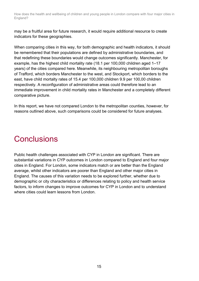may be a fruitful area for future research, it would require additional resource to create indicators for these geographies.

When comparing cities in this way, for both demographic and health indicators, it should be remembered that their populations are defined by administrative boundaries, and that redefining these boundaries would change outcomes significantly. Manchester, for example, has the highest child mortality rate (18.1 per 100,000 children aged 1–17 years) of the cities compared here. Meanwhile, its neighbouring metropolitan boroughs of Trafford, which borders Manchester to the west, and Stockport, which borders to the east, have child mortalty rates of 15.4 per 100,000 children 9.9 per 100,00 children respectively. A reconfiguration of administrative areas could therefore lead to an immediate improvement in child mortality rates in Manchester and a completely different comparative picture.

In this report, we have not compared London to the metropolitan counties, however, for reasons outlined above, such comparisons could be considered for future analyses.

## **Conclusions**

Public health challenges associated with CYP in London are significant. There are substantial variations in CYP outcomes in London compared to England and four major cities in England. For London, some indicators match or are better than the England average, whilst other indicators are poorer than England and other major cities in England. The causes of this variation needs to be explored further, whether due to demographic or city characteristics or differences relating to policy and health service factors, to inform changes to improve outcomes for CYP in London and to understand where cities could learn lessons from London.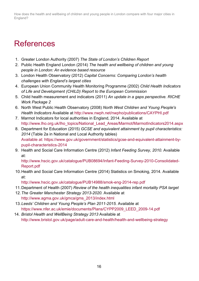## References

- 1. Greater London Authority (2007) *The State of London's Children Report*
- 2. Public Health England London (2014) *The health and wellbeing of children and young people in London: An evidence based resource*
- 3. London Health Observatory (2012) *Capital Concerns: Comparing London's health challenges with England's largest cities*
- 4. European Union Community Health Monitoring Programme (2002) *Child Health Indicators of Life and Development (CHILD) Report to the European Commission*
- 5. Child health measurement and indicators (2011) *An update in a gaps perspective. RICHE Work Package 2*
- 6. North West Public Health Observatory (2008) *North West Children and Young People's Health Indicators* Available at http://www.nwph.net/nwpho/publications/CAYPHI.pdf
- 7. Marmot Indicators for local authorities in England, 2014. Available at http://www.lho.org.uk/lho\_topics/National\_Lead\_Areas/Marmot/MarmotIndicators2014.aspx
- 8. Department for Education (2015) *GCSE and equivalent attainment by pupil characteristics: 2014* (Table 2a in National and Local Authority tables) Available at: https://www.gov.uk/government/statistics/gcse-and-equivalent-attainment-bypupil-characteristics-2014
- 9. Health and Social Care Information Centre (2012) *Infant Feeding Survey, 2010.* Available at:

http://www.hscic.gov.uk/catalogue/PUB08694/Infant-Feeding-Survey-2010-Consolidated-Report.pdf

10.Health and Social Care Information Centre (2014) Statistics on Smoking, 2014. Available at:

http://www.hscic.gov.uk/catalogue/PUB14988/smok-eng-2014-rep.pdf

- 11.Department of Health (2007) *Review of the health inequalities infant mortality PSA target*
- 12.*The Greater Manchester Strategy 2013-2020.* Available at http://www.agma.gov.uk/gmca/gms\_2013/index.html
- 13.*Leeds' Children and Young People's Plan 2011-2015.* Available at https://www.nfer.ac.uk/emie/documents/Plans/CYPP2009\_LEED\_2009-14.pdf
- 14. *Bristol Health and WellBeing Strategy 2013* Available at http://www.bristol.gov.uk/page/adult-care-and-health/health-and-wellbeing-strategy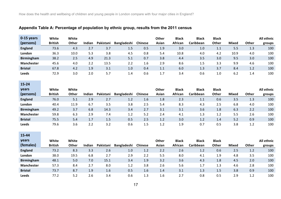#### **Appendix Table A: Percentage of population by ethnic group, results from the 2011 census**

| 0-15 years        | White          | White |        |           |                    |         | Other | <b>Black</b>   | <b>Black</b>     | <b>Black</b> |              |              | All ethnic |
|-------------------|----------------|-------|--------|-----------|--------------------|---------|-------|----------------|------------------|--------------|--------------|--------------|------------|
| (persons)         | <b>British</b> | Other | Indian | Pakistani | <b>Bangladeshi</b> | Chinese | Asian | <b>African</b> | <b>Caribbean</b> | <b>Other</b> | <b>Mixed</b> | <b>Other</b> | groups     |
| <b>England</b>    | 73.6           | 4.3   | 2.7    | 3.7       | 1.5                | 0.5     | 1.9   | 3.0            | 1.0              | 1.1          | 5.5          | 1.3          | 100        |
| London            | 36.3           | 10.0  | 5.3    | 3.8       | 4.5                | 0.8     | 5.4   | 10.8           | 4.0              | 4.2          | 10.9         | 4.0          | 100        |
| <b>Birmingham</b> | 38.2           | 2.5   | 4.9    | 21.3      | 5.1                | 0.7     | 3.8   | 4.4            | 3.5              | 3.0          | 9.5          | 3.0          | 100        |
| <b>Manchester</b> | 45.6           | 4.0   | 2.2    | 13.5      | 2.2                | 1.6     | 2.9   | 8.6            | 1.5              | 3.3          | 9.9          | 4.6          | 100        |
| <b>Bristol</b>    | 67.8           | 4.2   | 1.9    | 3.1       | 1.0                | 0.4     | 1.1   | 6.0            | 1.3              | 3.7          | 8.4          | 1.2          | 100        |
| <b>Leeds</b>      | 72.9           | 3.0   | 2.0    | 5.7       | 1.4                | 0.6     |       | 3.4            | 0.6              | 1.0          | 6.2          | 4.4          | 100        |

## **15-24**

and the state of the state of the

ــ

| <b>vears</b>      | White          | White |        |           |                    |                  | Other | <b>Black</b> | <b>Black</b> | <b>Black</b> |              |              | All ethnic |
|-------------------|----------------|-------|--------|-----------|--------------------|------------------|-------|--------------|--------------|--------------|--------------|--------------|------------|
| (persons)         | <b>British</b> | Other | Indian | Pakistani | <b>Bangladeshi</b> | <b>Chinese</b>   | Asian | African      | Caribbean    | Other        | <b>Mixed</b> | <b>Other</b> | groups     |
| <b>England</b>    | 76.0           | 5.1   | 2.9    | 2.7       | 1.2                | 1.6 <sub>1</sub> | 1.8   | 2.3          | 1.1          | 0.6          | 3.5          | 1.3          | 100        |
| London            | 40.4           | 11.9  | 6.7    | 3.5       | 3.8                | 2.5              | 5.4   | 8.3          | 4.3          | 2.5          | 6.8          | 4.0          | 100        |
| <b>Birmingham</b> | 49.2           | 3.7   | 6.8    | 14.3      | 3.4                | 2.7              | 3.1   | 3.1          | 3.6          | 1.8          | 6.3          | 2.2          | 100        |
| Manchester        | 59.8           | 6.3   | 2.9    | 7.4       | 1.2                | 5.2              | 2.4   | 4.1          | 1.3          | 1.2          | 5.5          | 2.6          | 100        |
| <b>Bristol</b>    | 75.5           | 5.4   | 1.7    | 1.5       | 0.5                | 2.5              | 1.2   | 3.0          | 1.2          | 1.4          | 5.2          | 0.9          | 100        |
| Leeds             | 79.6           | 3.6   | 2.2    | 3.2       | 0.6                | 1.5              | 1.2   | 1.9          | 0.7          | 0.5          | 3.8          | 1.2          | 100        |

| 15-44             |                |              |        |           |                    |                |       |              |              |              |              |       |            |
|-------------------|----------------|--------------|--------|-----------|--------------------|----------------|-------|--------------|--------------|--------------|--------------|-------|------------|
| years             | White          | White        |        |           |                    |                | Other | <b>Black</b> | <b>Black</b> | <b>Black</b> |              |       | All ethnic |
| (females)         | <b>British</b> | <b>Other</b> | Indian | Pakistani | <b>Bangladeshi</b> | <b>Chinese</b> | Asian | African      | Caribbean    | Other        | <b>Mixed</b> | Other | groups     |
| <b>England</b>    | 73.2           | 8.3          | 3.3    | 2.6       | 1.0                | 1.2            | 2.2   | 2.6          | 1.2          | 0.6          | 2.5          | 1.2   | 100        |
| <b>London</b>     | 38.0           | 19.5         | 6.8    | 2.7       | 2.9                | 2.2            | 5.5   | 8.0          | 4.1          | 1.9          | 4.8          | 3.5   | 100        |
| <b>Birmingham</b> | 48.1           | 5.0          | 7.0    | 15.1      | 3.4                | 1.9            | 3.2   | 3.6          | 4.3          | 1.8          | 4.5          | 2.0   | 100        |
| <b>Manchester</b> | 57.3           | 8.4          | 2.7    | 8.0       | 1.2                | 3.8            | 2.6   | 5.6          | 1.7          | 1.3          | 4.6          | 2.8   | 100        |
| <b>Bristol</b>    | 73.7           | 8.7          | 1.9    | 1.6       | 0.5                | 1.6            | 1.4   | 3.1          | 1.3          | 1.5          | 3.8          | 0.9   | 100        |
| <b>Leeds</b>      | 77.2           | 5.2          | 2.6    | 3.4       | 0.6                | 1.3            | 1.6   | 2.7          | 0.8          | 0.5          | 2.9          | 1.2   | 100        |